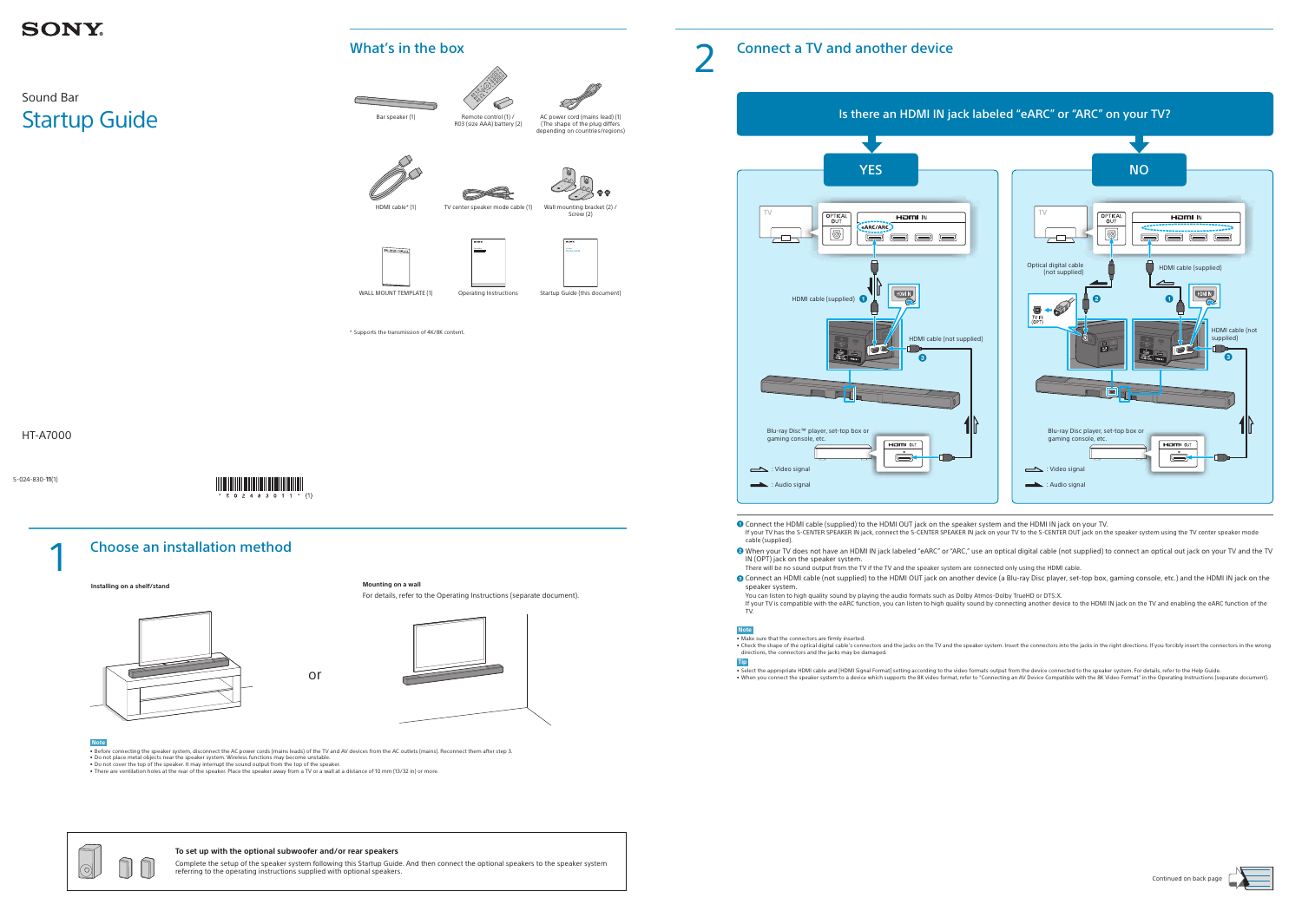5-024-830-**11**(1)



## Sound Bar Startup Guide

HT-A7000



 Connect the HDMI cable (supplied) to the HDMI OUT jack on the speaker system and the HDMI IN jack on your TV. If your TV has the S-CENTER SPEAKER IN jack, connect the S-CENTER SPEAKER IN jack on your TV to the S-CENTER OUT jack on the speaker system using the TV center speaker mode

- cable (supplied). <sup>2</sup> When your TV does not have an HDMI IN jack labeled "eARC" or "ARC," use an optical digital cable (not supplied) to connect an optical out jack on your TV and the TV IN (OPT) jack on the speaker system.
- There will be no sound output from the TV if the TV and the speaker system are connected only using the HDMI cable.
- Connect an HDMI cable (not supplied) to the HDMI OUT jack on another device (a Blu-ray Disc player, set-top box, gaming console, etc.) and the HDMI IN jack on the speaker system.

You can listen to high quality sound by playing the audio formats such as Dolby Atmos-Dolby TrueHD or DTS:X. If your TV is compatible with the eARC function, you can listen to high quality sound by connecting another device to the HDMI IN jack on the TV and enabling the eARC function of the TV.

### **Note**



Bar speaker (1) Remote control (1) / R03 (size AAA) battery (2)

- Make sure that the connectors are firmly inserted.
- Check the shape of the optical digital cable's connectors and the jacks on the TV and the speaker system. Insert the connectors into the jacks in the right directions. If you forcibly insert the connectors in the wrong directions, the connectors and the jacks may be damaged.

### **Tip**

• Select the appropriate HDMI cable and [HDMI Signal Format] setting according to the video formats output from the device connected to the speaker system. For details, refer to the Help Guide.

• When you connect the speaker system to a device which supports the 8K video format, refer to "Connecting an AV Device Compatible with the 8K Video Format" in the Operating Instructions (separate document).







For details, refer to the Operating Instructions (separate document).



### **Note**

• Before connecting the speaker system, disconnect the AC power cords (mains leads) of the TV and AV devices from the AC outlets (mains). Reconnect them after step 3.

- Do not place metal objects near the speaker system. Wireless functions may become unstable. • Do not cover the top of the speaker. It may interrupt the sound output from the top of the speaker.
- There are ventilation holes at the rear of the speaker. Place the speaker away from a TV or a wall at a distance of 10 mm (13/32 in) or more.



### **To set up with the optional subwoofer and/or rear speakers**

Complete the setup of the speaker system following this Startup Guide. And then connect the optional speakers to the speaker system referring to the operating instructions supplied with optional speakers.

### Connect a TV and another device

## **SONY**

## What's in the box

# AC power cord (mains lead) (1)

(The shape of the plug differs depending on countries/regions)





Screw (2)



Sound Bar Sound Bar Sound Bar Sound Bar Sound Bar Sound Bar Sound Bar Sound Bar Sound Bar Sound Bar Sound Bar



WALL MOUNT TEMPLATE (1) Operating Instructions Startup Guide (this document)

Startup Guide

\* Supports the transmission of 4K/8K content.